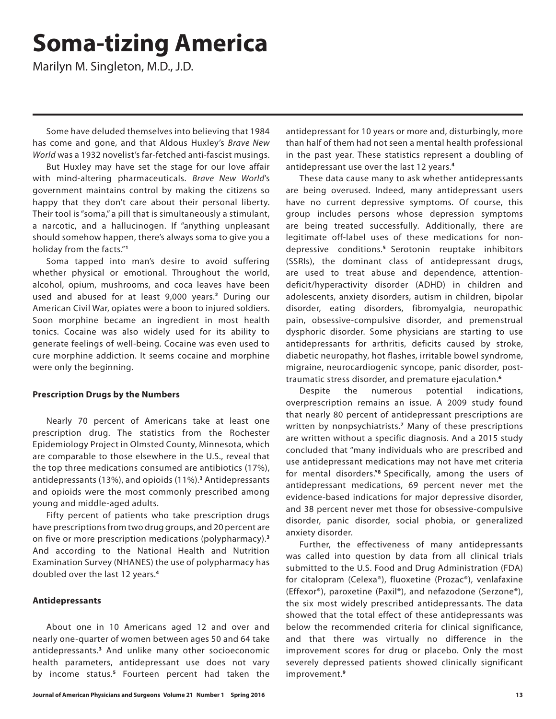# **Soma-tizing America**

Marilyn M. Singleton, M.D., J.D.

Some have deluded themselves into believing that 1984 has come and gone, and that Aldous Huxley's *Brave New World* was a 1932 novelist's far-fetched anti-fascist musings.

But Huxley may have set the stage for our love affair with mind-altering pharmaceuticals. *Brave New World*'s government maintains control by making the citizens so happy that they don't care about their personal liberty. Their tool is "soma," a pill that is simultaneously a stimulant, a narcotic, and a hallucinogen. If "anything unpleasant should somehow happen, there's always soma to give you a holiday from the facts."**<sup>1</sup>**

Soma tapped into man's desire to avoid suffering whether physical or emotional. Throughout the world, alcohol, opium, mushrooms, and coca leaves have been used and abused for at least 9,000 years.**<sup>2</sup>** During our American Civil War, opiates were a boon to injured soldiers. Soon morphine became an ingredient in most health tonics. Cocaine was also widely used for its ability to generate feelings of well-being. Cocaine was even used to cure morphine addiction. It seems cocaine and morphine were only the beginning.

### **Prescription Drugs by the Numbers**

Nearly 70 percent of Americans take at least one prescription drug. The statistics from the Rochester Epidemiology Project in Olmsted County, Minnesota, which are comparable to those elsewhere in the U.S., reveal that the top three medications consumed are antibiotics (17%), antidepressants (13%), and opioids (11%).**<sup>3</sup>** Antidepressants and opioids were the most commonly prescribed among young and middle-aged adults.

Fifty percent of patients who take prescription drugs have prescriptions from two drug groups, and 20 percent are on five or more prescription medications (polypharmacy).**<sup>3</sup>** And according to the National Health and Nutrition Examination Survey (NHANES) the use of polypharmacy has doubled over the last 12 years.**<sup>4</sup>**

#### **Antidepressants**

About one in 10 Americans aged 12 and over and nearly one-quarter of women between ages 50 and 64 take antidepressants.**<sup>3</sup>** And unlike many other socioeconomic health parameters, antidepressant use does not vary by income status.**<sup>5</sup>** Fourteen percent had taken the

antidepressant for 10 years or more and, disturbingly, more than half of them had not seen a mental health professional in the past year. These statistics represent a doubling of antidepressant use over the last 12 years.**<sup>4</sup>**

These data cause many to ask whether antidepressants are being overused. Indeed, many antidepressant users have no current depressive symptoms. Of course, this group includes persons whose depression symptoms are being treated successfully. Additionally, there are legitimate off-label uses of these medications for nondepressive conditions.**<sup>5</sup>**Serotonin reuptake inhibitors (SSRIs), the dominant class of antidepressant drugs, are used to treat abuse and dependence, attentiondeficit/hyperactivity disorder (ADHD) in children and adolescents, anxiety disorders, autism in children, bipolar disorder, eating disorders, fibromyalgia, neuropathic pain, obsessive-compulsive disorder, and premenstrual dysphoric disorder. Some physicians are starting to use antidepressants for arthritis, deficits caused by stroke, diabetic neuropathy, hot flashes, irritable bowel syndrome, migraine, neurocardiogenic syncope, panic disorder, posttraumatic stress disorder, and premature ejaculation.**<sup>6</sup>**

Despite the numerous potential indications, overprescription remains an issue. A 2009 study found that nearly 80 percent of antidepressant prescriptions are written by nonpsychiatrists.**<sup>7</sup>** Many of these prescriptions are written without a specific diagnosis. And a 2015 study concluded that "many individuals who are prescribed and use antidepressant medications may not have met criteria for mental disorders."**<sup>8</sup>**Specifically, among the users of antidepressant medications, 69 percent never met the evidence-based indications for major depressive disorder, and 38 percent never met those for obsessive-compulsive disorder, panic disorder, social phobia, or generalized anxiety disorder.

Further, the effectiveness of many antidepressants was called into question by data from all clinical trials submitted to the U.S. Food and Drug Administration (FDA) for citalopram (Celexa®), fluoxetine (Prozac®), venlafaxine (Effexor®), paroxetine (Paxil®), and nefazodone (Serzone®), the six most widely prescribed antidepressants. The data showed that the total effect of these antidepressants was below the recommended criteria for clinical significance, and that there was virtually no difference in the improvement scores for drug or placebo. Only the most severely depressed patients showed clinically significant improvement.**<sup>9</sup>**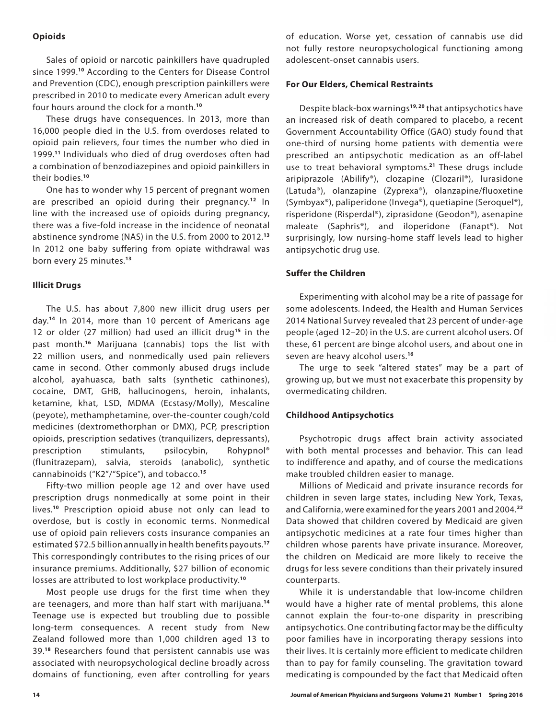#### **Opioids**

Sales of opioid or narcotic painkillers have quadrupled since 1999.**<sup>10</sup>** According to the Centers for Disease Control and Prevention (CDC), enough prescription painkillers were prescribed in 2010 to medicate every American adult every four hours around the clock for a month.**<sup>10</sup>**

These drugs have consequences. In 2013, more than 16,000 people died in the U.S. from overdoses related to opioid pain relievers, four times the number who died in 1999.**<sup>11</sup>** Individuals who died of drug overdoses often had a combination of benzodiazepines and opioid painkillers in their bodies.**<sup>10</sup>**

One has to wonder why 15 percent of pregnant women are prescribed an opioid during their pregnancy.**<sup>12</sup>** In line with the increased use of opioids during pregnancy, there was a five-fold increase in the incidence of neonatal abstinence syndrome (NAS) in the U.S. from 2000 to 2012.**<sup>13</sup>** In 2012 one baby suffering from opiate withdrawal was born every 25 minutes.**<sup>13</sup>**

#### **Illicit Drugs**

The U.S. has about 7,800 new illicit drug users per day.**<sup>14</sup>** In 2014, more than 10 percent of Americans age 12 or older (27 million) had used an illicit drug**<sup>15</sup>** in the past month.**<sup>16</sup>** Marijuana (cannabis) tops the list with 22 million users, and nonmedically used pain relievers came in second. Other commonly abused drugs include alcohol, ayahuasca, bath salts (synthetic cathinones), cocaine, DMT, GHB, hallucinogens, heroin, inhalants, ketamine, khat, LSD, MDMA (Ecstasy/Molly), Mescaline (peyote), methamphetamine, over-the-counter cough/cold medicines (dextromethorphan or DMX), PCP, prescription opioids, prescription sedatives (tranquilizers, depressants), prescription stimulants, psilocybin, Rohypnol® (flunitrazepam), salvia, steroids (anabolic), synthetic cannabinoids ("K2"/"Spice"), and tobacco.**<sup>15</sup>**

Fifty-two million people age 12 and over have used prescription drugs nonmedically at some point in their lives.**<sup>10</sup>** Prescription opioid abuse not only can lead to overdose, but is costly in economic terms. Nonmedical use of opioid pain relievers costs insurance companies an estimated \$72.5 billion annually in health benefits payouts.**<sup>17</sup>** This correspondingly contributes to the rising prices of our insurance premiums. Additionally, \$27 billion of economic losses are attributed to lost workplace productivity.**<sup>10</sup>**

Most people use drugs for the first time when they are teenagers, and more than half start with marijuana.**<sup>14</sup>** Teenage use is expected but troubling due to possible long-term consequences. A recent study from New Zealand followed more than 1,000 children aged 13 to 39.**<sup>18</sup>** Researchers found that persistent cannabis use was associated with neuropsychological decline broadly across domains of functioning, even after controlling for years

of education. Worse yet, cessation of cannabis use did not fully restore neuropsychological functioning among adolescent-onset cannabis users.

#### **For Our Elders, Chemical Restraints**

Despite black-box warnings**19, 20** that antipsychotics have an increased risk of death compared to placebo, a recent Government Accountability Office (GAO) study found that one-third of nursing home patients with dementia were prescribed an antipsychotic medication as an off-label use to treat behavioral symptoms.**<sup>21</sup>** These drugs include aripiprazole (Abilify®), clozapine (Clozaril®), lurasidone (Latuda®), olanzapine (Zyprexa®), olanzapine/fluoxetine (Symbyax®), paliperidone (Invega®), quetiapine (Seroquel®), risperidone (Risperdal®), ziprasidone (Geodon®), asenapine maleate (Saphris®), and iloperidone (Fanapt®). Not surprisingly, low nursing-home staff levels lead to higher antipsychotic drug use.

#### **Suffer the Children**

Experimenting with alcohol may be a rite of passage for some adolescents. Indeed, the Health and Human Services 2014 National Survey revealed that 23 percent of under-age people (aged 12–20) in the U.S. are current alcohol users. Of these, 61 percent are binge alcohol users, and about one in seven are heavy alcohol users.**<sup>16</sup>**

The urge to seek "altered states" may be a part of growing up, but we must not exacerbate this propensity by overmedicating children.

#### **Childhood Antipsychotics**

Psychotropic drugs affect brain activity associated with both mental processes and behavior. This can lead to indifference and apathy, and of course the medications make troubled children easier to manage.

Millions of Medicaid and private insurance records for children in seven large states, including New York, Texas, and California, were examined for the years 2001 and 2004.**<sup>22</sup>** Data showed that children covered by Medicaid are given antipsychotic medicines at a rate four times higher than children whose parents have private insurance. Moreover, the children on Medicaid are more likely to receive the drugs for less severe conditions than their privately insured counterparts.

While it is understandable that low-income children would have a higher rate of mental problems, this alone cannot explain the four-to-one disparity in prescribing antipsychotics. One contributing factor may be the difficulty poor families have in incorporating therapy sessions into their lives. It is certainly more efficient to medicate children than to pay for family counseling. The gravitation toward medicating is compounded by the fact that Medicaid often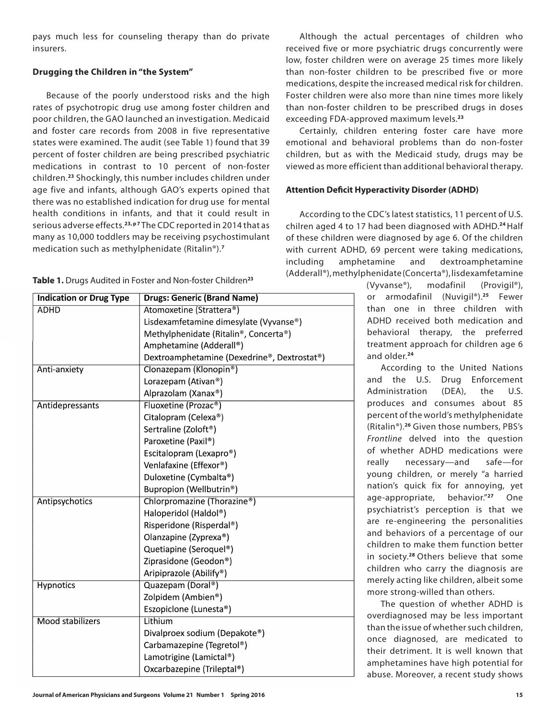pays much less for counseling therapy than do private insurers.

# **Drugging the Children in "the System"**

Because of the poorly understood risks and the high rates of psychotropic drug use among foster children and poor children, the GAO launched an investigation. Medicaid and foster care records from 2008 in five representative states were examined. The audit (see Table 1) found that 39 percent of foster children are being prescribed psychiatric medications in contrast to 10 percent of non-foster children.**<sup>23</sup>** Shockingly, this number includes children under age five and infants, although GAO's experts opined that there was no established indication for drug use for mental health conditions in infants, and that it could result in serious adverse effects.**23, p 7** The CDC reported in 2014 that as many as 10,000 toddlers may be receiving psychostimulant medication such as methylphenidate (Ritalin®).**<sup>7</sup>**

**Table 1.** Drugs Audited in Foster and Non-foster Children**23**

| <b>Indication or Drug Type</b> | <b>Drugs: Generic (Brand Name)</b>          |
|--------------------------------|---------------------------------------------|
| <b>ADHD</b>                    | Atomoxetine (Strattera <sup>®</sup> )       |
|                                | Lisdexamfetamine dimesylate (Vyvanse®)      |
|                                | Methylphenidate (Ritalin®, Concerta®)       |
|                                | Amphetamine (Adderall®)                     |
|                                | Dextroamphetamine (Dexedrine®, Dextrostat®) |
| Anti-anxiety                   | Clonazepam (Klonopin <sup>®</sup> )         |
|                                | Lorazepam (Ativan <sup>®</sup> )            |
|                                | Alprazolam (Xanax®)                         |
| Antidepressants                | Fluoxetine (Prozac <sup>®</sup> )           |
|                                | Citalopram (Celexa®)                        |
|                                | Sertraline (Zoloft <sup>®</sup> )           |
|                                | Paroxetine (Paxil®)                         |
|                                | Escitalopram (Lexapro <sup>®</sup> )        |
|                                | Venlafaxine (Effexor <sup>®</sup> )         |
|                                | Duloxetine (Cymbalta®)                      |
|                                | Bupropion (Wellbutrin®)                     |
| Antipsychotics                 | Chlorpromazine (Thorazine <sup>®</sup> )    |
|                                | Haloperidol (Haldol®)                       |
|                                | Risperidone (Risperdal®)                    |
|                                | Olanzapine (Zyprexa®)                       |
|                                | Quetiapine (Seroquel®)                      |
|                                | Ziprasidone (Geodon®)                       |
|                                | Aripiprazole (Abilify <sup>®</sup> )        |
| <b>Hypnotics</b>               | Quazepam (Doral <sup>®</sup> )              |
|                                | Zolpidem (Ambien®)                          |
|                                | Eszopiclone (Lunesta®)                      |
| <b>Mood stabilizers</b>        | Lithium                                     |
|                                | Divalproex sodium (Depakote®)               |
|                                | Carbamazepine (Tegretol®)                   |
|                                | Lamotrigine (Lamictal®)                     |
|                                | Oxcarbazepine (Trileptal®)                  |

Although the actual percentages of children who received five or more psychiatric drugs concurrently were low, foster children were on average 25 times more likely than non-foster children to be prescribed five or more medications, despite the increased medical risk for children. Foster children were also more than nine times more likely than non-foster children to be prescribed drugs in doses exceeding FDA-approved maximum levels.**<sup>23</sup>**

Certainly, children entering foster care have more emotional and behavioral problems than do non-foster children, but as with the Medicaid study, drugs may be viewed as more efficient than additional behavioral therapy.

# **Attention Deficit Hyperactivity Disorder (ADHD)**

According to the CDC's latest statistics, 11 percent of U.S. chilren aged 4 to 17 had been diagnosed with ADHD.**<sup>24</sup>**Half of these children were diagnosed by age 6. Of the children with current ADHD, 69 percent were taking medications, including amphetamine and dextroamphetamine (Adderall®), methylphenidate (Concerta®), lisdexamfetamine

> (Vyvanse®), modafinil (Provigil®), or armodafinil (Nuvigil®).**<sup>25</sup>** Fewer than one in three children with ADHD received both medication and behavioral therapy, the preferred treatment approach for children age 6 and older.**<sup>24</sup>**

According to the United Nations and the U.S. Drug Enforcement Administration (DEA), the U.S. produces and consumes about 85 percent of the world's methylphenidate (Ritalin®).**<sup>26</sup>** Given those numbers, PBS's *Frontline* delved into the question of whether ADHD medications were really necessary—and safe—for young children, or merely "a harried nation's quick fix for annoying, yet age-appropriate, behavior."**<sup>27</sup>** One psychiatrist's perception is that we are re-engineering the personalities and behaviors of a percentage of our children to make them function better in society.**<sup>28</sup>**Others believe that some children who carry the diagnosis are merely acting like children, albeit some more strong-willed than others.

The question of whether ADHD is overdiagnosed may be less important than the issue of whether such children, once diagnosed, are medicated to their detriment. It is well known that amphetamines have high potential for abuse. Moreover, a recent study shows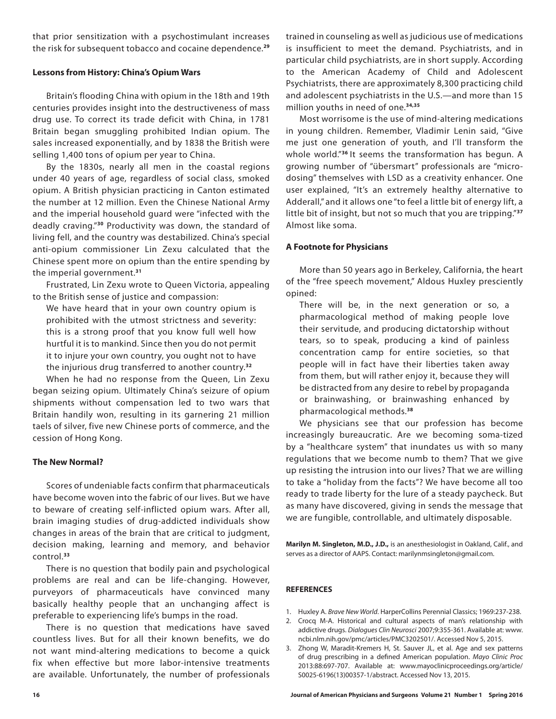that prior sensitization with a psychostimulant increases the risk for subsequent tobacco and cocaine dependence.**<sup>29</sup>**

### **Lessons from History: China's Opium Wars**

Britain's flooding China with opium in the 18th and 19th centuries provides insight into the destructiveness of mass drug use. To correct its trade deficit with China, in 1781 Britain began smuggling prohibited Indian opium. The sales increased exponentially, and by 1838 the British were selling 1,400 tons of opium per year to China.

By the 1830s, nearly all men in the coastal regions under 40 years of age, regardless of social class, smoked opium. A British physician practicing in Canton estimated the number at 12 million. Even the Chinese National Army and the imperial household guard were "infected with the deadly craving."**<sup>30</sup>** Productivity was down, the standard of living fell, and the country was destabilized. China's special anti-opium commissioner Lin Zexu calculated that the Chinese spent more on opium than the entire spending by the imperial government.**<sup>31</sup>**

Frustrated, Lin Zexu wrote to Queen Victoria, appealing to the British sense of justice and compassion:

We have heard that in your own country opium is prohibited with the utmost strictness and severity: this is a strong proof that you know full well how hurtful it is to mankind. Since then you do not permit it to injure your own country, you ought not to have the injurious drug transferred to another country.**<sup>32</sup>**

When he had no response from the Queen, Lin Zexu began seizing opium. Ultimately China's seizure of opium shipments without compensation led to two wars that Britain handily won, resulting in its garnering 21 million taels of silver, five new Chinese ports of commerce, and the cession of Hong Kong.

### **The New Normal?**

Scores of undeniable facts confirm that pharmaceuticals have become woven into the fabric of our lives. But we have to beware of creating self-inflicted opium wars. After all, brain imaging studies of drug-addicted individuals show changes in areas of the brain that are critical to judgment, decision making, learning and memory, and behavior control.**<sup>33</sup>**

There is no question that bodily pain and psychological problems are real and can be life-changing. However, purveyors of pharmaceuticals have convinced many basically healthy people that an unchanging affect is preferable to experiencing life's bumps in the road.

There is no question that medications have saved countless lives. But for all their known benefits, we do not want mind-altering medications to become a quick fix when effective but more labor-intensive treatments are available. Unfortunately, the number of professionals trained in counseling as well as judicious use of medications is insufficient to meet the demand. Psychiatrists, and in particular child psychiatrists, are in short supply. According to the American Academy of Child and Adolescent Psychiatrists, there are approximately 8,300 practicing child and adolescent psychiatrists in the U.S.—and more than 15 million youths in need of one.**34,35**

Most worrisome is the use of mind-altering medications in young children. Remember, Vladimir Lenin said, "Give me just one generation of youth, and I'll transform the whole world."**<sup>36</sup>**It seems the transformation has begun. A growing number of "übersmart" professionals are "microdosing" themselves with LSD as a creativity enhancer. One user explained, "It's an extremely healthy alternative to Adderall," and it allows one "to feel a little bit of energy lift, a little bit of insight, but not so much that you are tripping."**<sup>37</sup>** Almost like soma.

## **A Footnote for Physicians**

More than 50 years ago in Berkeley, California, the heart of the "free speech movement," Aldous Huxley presciently opined:

There will be, in the next generation or so, a pharmacological method of making people love their servitude, and producing dictatorship without tears, so to speak, producing a kind of painless concentration camp for entire societies, so that people will in fact have their liberties taken away from them, but will rather enjoy it, because they will be distracted from any desire to rebel by propaganda or brainwashing, or brainwashing enhanced by pharmacological methods.**<sup>38</sup>**

We physicians see that our profession has become increasingly bureaucratic. Are we becoming soma-tized by a "healthcare system" that inundates us with so many regulations that we become numb to them? That we give up resisting the intrusion into our lives? That we are willing to take a "holiday from the facts"? We have become all too ready to trade liberty for the lure of a steady paycheck. But as many have discovered, giving in sends the message that we are fungible, controllable, and ultimately disposable.

**Marilyn M. Singleton, M.D., J.D.,** is an anesthesiologist in Oakland, Calif., and serves as a director of AAPS. Contact: marilynmsingleton@gmail.com.

### **REFERENCES**

- 1. Huxley A. *Brave New World*. HarperCollins Perennial Classics; 1969:237-238.
- 2. Crocq M-A. Historical and cultural aspects of man's relationship with addictive drugs. *Dialogues Clin Neurosci* 2007;9:355-361. Available at: www. ncbi.nlm.nih.gov/pmc/articles/PMC3202501/. Accessed Nov 5, 2015.
- 3. Zhong W, Maradit-Kremers H, St. Sauver JL, et al. Age and sex patterns of drug prescribing in a defined American population. *Mayo Clinic Proc* 2013:88:697-707. Available at: www.mayoclinicproceedings.org/article/ S0025-6196(13)00357-1/abstract. Accessed Nov 13, 2015.